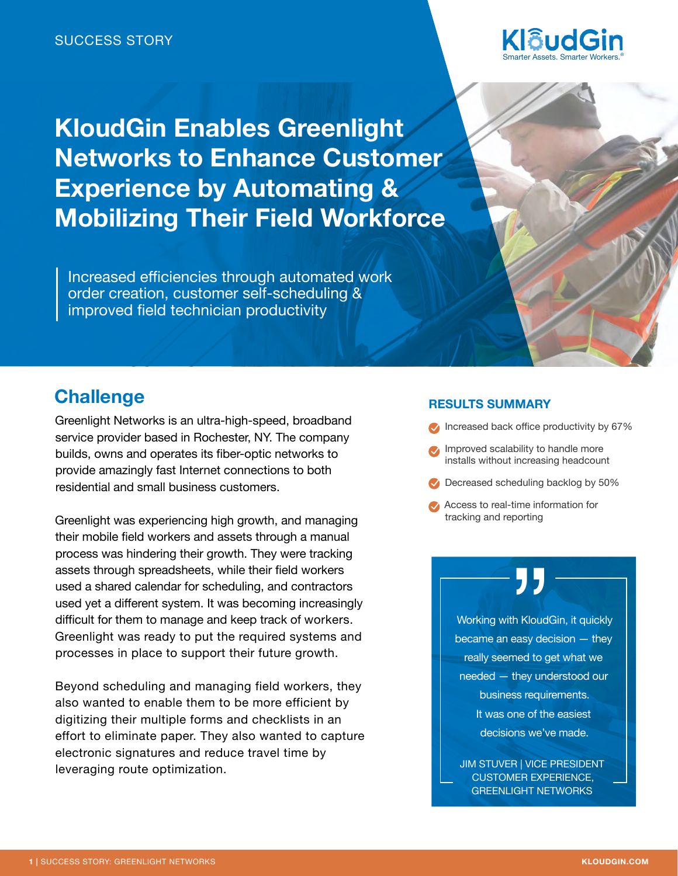

**KloudGin Enables Greenlight Networks to Enhance Customer Experience by Automating & Mobilizing Their Field Workforce**

Increased efficiencies through automated work order creation, customer self-scheduling & improved field technician productivity

# **Challenge**

Greenlight Networks is an ultra-high-speed, broadband service provider based in Rochester, NY. The company builds, owns and operates its fiber-optic networks to provide amazingly fast Internet connections to both residential and small business customers.

Greenlight was experiencing high growth, and managing their mobile field workers and assets through a manual process was hindering their growth. They were tracking assets through spreadsheets, while their field workers used a shared calendar for scheduling, and contractors used yet a different system. It was becoming increasingly difficult for them to manage and keep track of workers. Greenlight was ready to put the required systems and processes in place to support their future growth.

Beyond scheduling and managing field workers, they also wanted to enable them to be more efficient by digitizing their multiple forms and checklists in an effort to eliminate paper. They also wanted to capture electronic signatures and reduce travel time by leveraging route optimization.

## **RESULTS SUMMARY**

- Increased back office productivity by 67%
- **Improved scalability to handle more** installs without increasing headcount
- Decreased scheduling backlog by 50%
- Access to real-time information for tracking and reporting

**77**<br>th Kloudt<br>easy dec<br>med to g Working with KloudGin, it quickly became an easy decision — they really seemed to get what we needed — they understood our business requirements. It was one of the easiest decisions we've made.

JIM STUVER | VICE PRESIDENT CUSTOMER EXPERIENCE, GREENLIGHT NETWORKS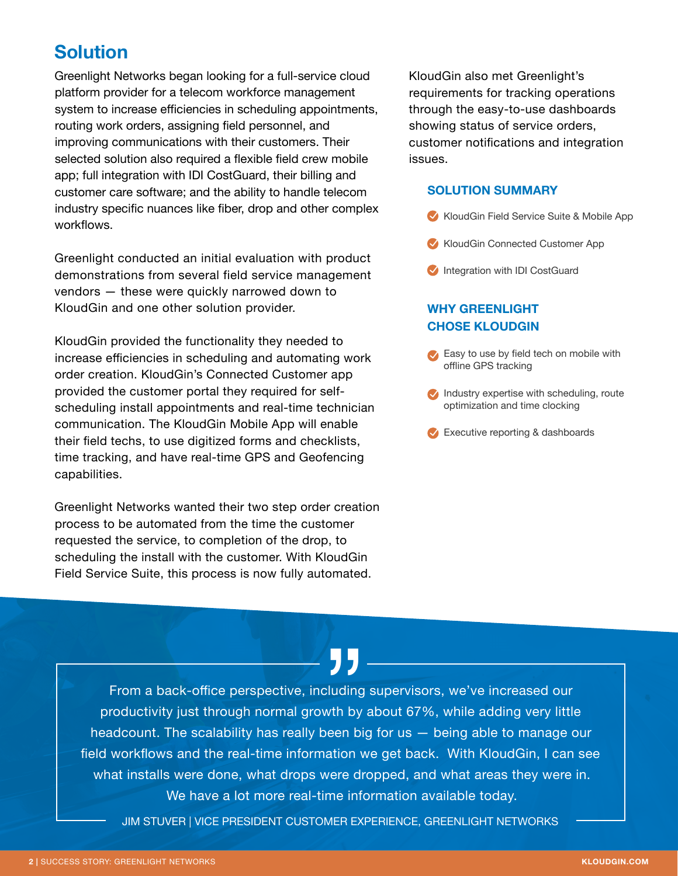# **Solution**

Greenlight Networks began looking for a full-service cloud platform provider for a telecom workforce management system to increase efficiencies in scheduling appointments, routing work orders, assigning field personnel, and improving communications with their customers. Their selected solution also required a flexible field crew mobile app; full integration with IDI CostGuard, their billing and customer care software; and the ability to handle telecom industry specific nuances like fiber, drop and other complex workflows.

Greenlight conducted an initial evaluation with product demonstrations from several field service management vendors — these were quickly narrowed down to KloudGin and one other solution provider.

KloudGin provided the functionality they needed to increase efficiencies in scheduling and automating work order creation. KloudGin's Connected Customer app provided the customer portal they required for selfscheduling install appointments and real-time technician communication. The KloudGin Mobile App will enable their field techs, to use digitized forms and checklists, time tracking, and have real-time GPS and Geofencing capabilities.

Greenlight Networks wanted their two step order creation process to be automated from the time the customer requested the service, to completion of the drop, to scheduling the install with the customer. With KloudGin Field Service Suite, this process is now fully automated.

KloudGin also met Greenlight's requirements for tracking operations through the easy-to-use dashboards showing status of service orders, customer notifications and integration issues.

### **SOLUTION SUMMARY**

- KloudGin Field Service Suite & Mobile App
- KloudGin Connected Customer App
- Integration with IDI CostGuard

## **WHY GREENLIGHT CHOSE KLOUDGIN**

- Easy to use by field tech on mobile with offline GPS tracking
- $\blacktriangleright$  Industry expertise with scheduling, route optimization and time clocking
- Executive reporting & dashboards

From a back-office perspective, including supervisors, we've increased our productivity just through normal growth by about 67%, while adding very little headcount. The scalability has really been big for us — being able to manage our field workflows and the real-time information we get back. With KloudGin, I can see what installs were done, what drops were dropped, and what areas they were in. We have a lot more real-time information available today. J<br>cluding<br>wth by<br>een bi

JIM STUVER | VICE PRESIDENT CUSTOMER EXPERIENCE, GREENLIGHT NETWORKS